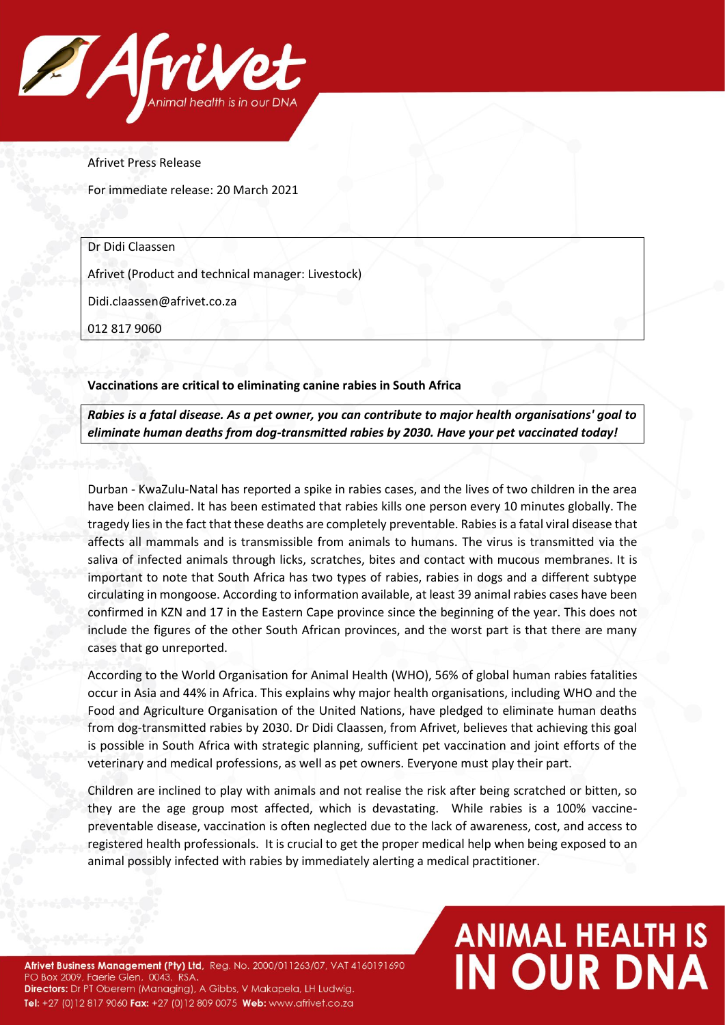

Afrivet Press Release

For immediate release: 20 March 2021

Dr Didi Claassen

Afrivet (Product and technical manager: Livestock)

Didi.claassen@afrivet.co.za

012 817 9060

**Vaccinations are critical to eliminating canine rabies in South Africa**

*Rabies is a fatal disease. As a pet owner, you can contribute to major health organisations' goal to eliminate human deaths from dog-transmitted rabies by 2030. Have your pet vaccinated today!*

Durban - KwaZulu-Natal has reported a spike in rabies cases, and the lives of two children in the area have been claimed. It has been estimated that rabies kills one person every 10 minutes globally. The tragedy lies in the fact that these deaths are completely preventable. Rabies is a fatal viral disease that affects all mammals and is transmissible from animals to humans. The virus is transmitted via the saliva of infected animals through licks, scratches, bites and contact with mucous membranes. It is important to note that South Africa has two types of rabies, rabies in dogs and a different subtype circulating in mongoose. According to information available, at least 39 animal rabies cases have been confirmed in KZN and 17 in the Eastern Cape province since the beginning of the year. This does not include the figures of the other South African provinces, and the worst part is that there are many cases that go unreported.

According to the World Organisation for Animal Health (WHO), 56% of global human rabies fatalities occur in Asia and 44% in Africa. This explains why major health organisations, including WHO and the Food and Agriculture Organisation of the United Nations, have pledged to eliminate human deaths from dog-transmitted rabies by 2030. Dr Didi Claassen, from Afrivet, believes that achieving this goal is possible in South Africa with strategic planning, sufficient pet vaccination and joint efforts of the veterinary and medical professions, as well as pet owners. Everyone must play their part.

Children are inclined to play with animals and not realise the risk after being scratched or bitten, so they are the age group most affected, which is devastating. While rabies is a 100% vaccinepreventable disease, vaccination is often neglected due to the lack of awareness, cost, and access to registered health professionals. It is crucial to get the proper medical help when being exposed to an animal possibly infected with rabies by immediately alerting a medical practitioner.

Afrivet Business Management (Pty) Ltd, Reg. No. 2000/011263/07, VAT 4160191690 PO Box 2009, Faerie Glen, 0043, RSA. Directors: Dr PT Oberem (Managing), A Gibbs, V Makapela, LH Ludwig. Tel: +27 (0)12 817 9060 Fax: +27 (0)12 809 0075 Web: www.afrivet.co.za

## **ANIMAL HEALTH IS<br>IN OUR DNA**